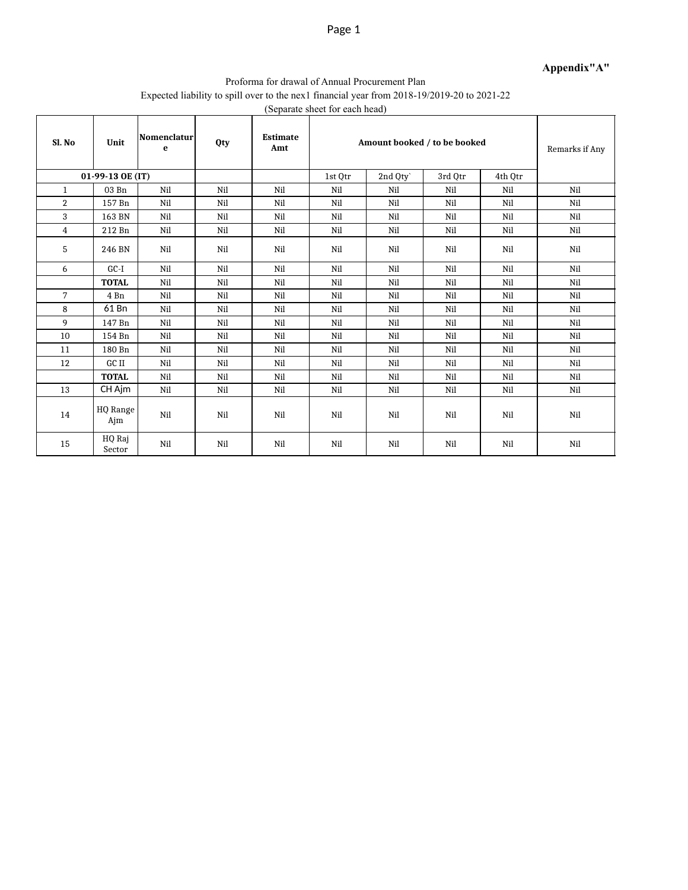#### **Appendix"A"**

#### Proforma for drawal of Annual Procurement Plan Expected liability to spill over to the nex1 financial year from 2018-19/2019-20 to 2021-22 (Separate sheet for each head)

| Sl. No         | Unit             | Nomenclatur<br>e | Qty | <b>Estimate</b><br>Amt | Amount booked / to be booked | Remarks if Any |         |         |     |
|----------------|------------------|------------------|-----|------------------------|------------------------------|----------------|---------|---------|-----|
|                | 01-99-13 OE (IT) |                  |     |                        | 1st Otr                      | 2nd Qty`       | 3rd Otr | 4th Otr |     |
| $\mathbf{1}$   | 03 Bn            | Nil              | Nil | Nil                    | Nil                          | Nil            | Nil     | Nil     | Nil |
| $\overline{2}$ | 157 Bn           | Nil              | Nil | Nil                    | Nil                          | Nil            | Nil     | Nil     | Nil |
| 3              | 163 BN           | Nil              | Nil | Nil                    | Nil                          | Nil            | Nil     | Nil     | Nil |
| $\overline{4}$ | 212 Bn           | Nil              | Nil | Nil                    | Nil                          | Nil            | Nil     | Nil     | Nil |
| 5              | 246 BN           | Nil              | Nil | Nil                    | Nil                          | Nil            | Nil     | Nil     | Nil |
| 6              | $GC-I$           | Nil              | Nil | Nil                    | Nil                          | Nil            | Nil     | Nil     | Nil |
|                | <b>TOTAL</b>     | Nil              | Nil | Nil                    | Nil                          | Nil            | Nil     | Nil     | Nil |
| 7              | 4 Bn             | Nil              | Nil | Nil                    | Nil                          | Nil            | Nil     | Nil     | Nil |
| 8              | 61 Bn            | Nil              | Nil | Nil                    | Nil                          | Nil            | Nil     | Nil     | Nil |
| 9              | 147 Bn           | Nil              | Nil | Nil                    | Nil                          | Nil            | Nil     | Nil     | Nil |
| 10             | 154 Bn           | Nil              | Nil | Nil                    | Nil                          | Nil            | Nil     | Nil     | Nil |
| 11             | 180 Bn           | Nil              | Nil | Nil                    | Nil                          | Nil            | Nil     | Nil     | Nil |
| 12             | GC II            | Nil              | Nil | Nil                    | Nil                          | Nil            | Nil     | Nil     | Nil |
|                | <b>TOTAL</b>     | Nil              | Nil | Nil                    | Nil                          | Nil            | Nil     | Nil     | Nil |
| 13             | CH Ajm           | Nil              | Nil | Nil                    | Nil                          | Nil            | Nil     | Nil     | Nil |
| 14             | HQ Range<br>Ajm  | Nil              | Nil | Nil                    | Nil                          | Nil            | Nil     | Nil     | Nil |
| 15             | HQ Raj<br>Sector | Nil              | Nil | Nil                    | Nil                          | Nil            | Nil     | Nil     | Nil |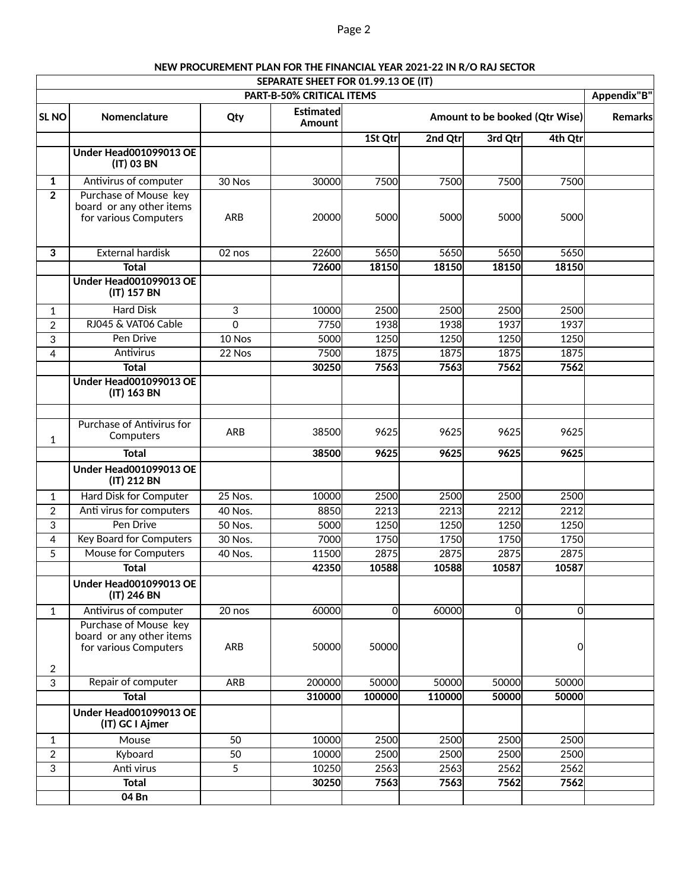## Page 2

|                                                 |                                                                            |            | SEPARATE SHEET FOR 01.99.13 OE (IT) |                |         |                                |         |  |  |  |  |  |
|-------------------------------------------------|----------------------------------------------------------------------------|------------|-------------------------------------|----------------|---------|--------------------------------|---------|--|--|--|--|--|
| Appendix"B"<br><b>PART-B-50% CRITICAL ITEMS</b> |                                                                            |            |                                     |                |         |                                |         |  |  |  |  |  |
| SL <sub>NO</sub>                                | Nomenclature                                                               | Qty        | <b>Estimated</b><br>Amount          |                |         | Amount to be booked (Qtr Wise) |         |  |  |  |  |  |
|                                                 |                                                                            |            |                                     | 1St Qtr        | 2nd Qtr | 3rd Qtr                        | 4th Qtr |  |  |  |  |  |
|                                                 | <b>Under Head001099013 OE</b><br>(IT) 03 BN                                |            |                                     |                |         |                                |         |  |  |  |  |  |
| 1                                               | Antivirus of computer                                                      | 30 Nos     | 30000                               | 7500           | 7500    | 7500                           | 7500    |  |  |  |  |  |
| $\overline{2}$                                  | Purchase of Mouse key<br>board or any other items<br>for various Computers | <b>ARB</b> | 20000                               | 5000           | 5000    | 5000                           | 5000    |  |  |  |  |  |
| 3                                               | <b>External hardisk</b>                                                    | 02 nos     | 22600                               | 5650           | 5650    | 5650                           | 5650    |  |  |  |  |  |
|                                                 | <b>Total</b>                                                               |            | 72600                               | 18150          | 18150   | 18150                          | 18150   |  |  |  |  |  |
|                                                 | Under Head001099013 OE<br>(IT) 157 BN                                      |            |                                     |                |         |                                |         |  |  |  |  |  |
| $\mathbf{1}$                                    | <b>Hard Disk</b>                                                           | 3          | 10000                               | 2500           | 2500    | 2500                           | 2500    |  |  |  |  |  |
| $\overline{2}$                                  | RJ045 & VAT06 Cable                                                        | $\Omega$   | 7750                                | 1938           | 1938    | 1937                           | 1937    |  |  |  |  |  |
| 3                                               | Pen Drive                                                                  | 10 Nos     | 5000                                | 1250           | 1250    | 1250                           | 1250    |  |  |  |  |  |
| $\overline{4}$                                  | <b>Antivirus</b>                                                           | 22 Nos     | 7500                                | 1875           | 1875    | 1875                           | 1875    |  |  |  |  |  |
|                                                 | <b>Total</b>                                                               |            | 30250                               | 7563           | 7563    | 7562                           | 7562    |  |  |  |  |  |
|                                                 | <b>Under Head001099013 OE</b><br>(IT) 163 BN                               |            |                                     |                |         |                                |         |  |  |  |  |  |
|                                                 |                                                                            |            |                                     |                |         |                                |         |  |  |  |  |  |
| $\mathbf{1}$                                    | <b>Purchase of Antivirus for</b><br>Computers                              | ARB        | 38500                               | 9625           | 9625    | 9625                           | 9625    |  |  |  |  |  |
|                                                 | <b>Total</b>                                                               |            | 38500                               | 9625           | 9625    | 9625                           | 9625    |  |  |  |  |  |
|                                                 | <b>Under Head001099013 OE</b><br>(IT) 212 BN                               |            |                                     |                |         |                                |         |  |  |  |  |  |
| $\mathbf{1}$                                    | Hard Disk for Computer                                                     | 25 Nos.    | 10000                               | 2500           | 2500    | 2500                           | 2500    |  |  |  |  |  |
| $\overline{2}$                                  | Anti virus for computers                                                   | 40 Nos.    | 8850                                | 2213           | 2213    | 2212                           | 2212    |  |  |  |  |  |
| 3                                               | Pen Drive                                                                  | 50 Nos.    | 5000                                | 1250           | 1250    | 1250                           | 1250    |  |  |  |  |  |
| 4                                               | <b>Key Board for Computers</b>                                             | 30 Nos.    | 7000                                | 1750           | 1750    | 1750                           | 1750    |  |  |  |  |  |
| 5                                               | <b>Mouse for Computers</b>                                                 | 40 Nos.    | 11500                               | 2875           | 2875    | 2875                           | 2875    |  |  |  |  |  |
|                                                 | <b>Total</b>                                                               |            | 42350                               | 10588          | 10588   | 10587                          | 10587   |  |  |  |  |  |
|                                                 | <b>Under Head001099013 OE</b><br>(IT) 246 BN                               |            |                                     |                |         |                                |         |  |  |  |  |  |
| $\mathbf{1}$                                    | Antivirus of computer                                                      | 20 nos     | 60000                               | $\overline{0}$ | 60000   | $\overline{0}$                 | 0       |  |  |  |  |  |
|                                                 | Purchase of Mouse key<br>board or any other items<br>for various Computers | ARB        | 50000                               | 50000          |         |                                | 0       |  |  |  |  |  |
| 2                                               |                                                                            |            |                                     |                |         |                                |         |  |  |  |  |  |
| 3                                               | Repair of computer                                                         | ARB        | 200000                              | 50000          | 50000   | 50000                          | 50000   |  |  |  |  |  |
|                                                 | <b>Total</b><br><b>Under Head001099013 OE</b>                              |            | 310000                              | 100000         | 110000  | 50000                          | 50000   |  |  |  |  |  |
|                                                 | (IT) GC I Ajmer                                                            |            |                                     |                |         |                                |         |  |  |  |  |  |
| $\mathbf{1}$                                    | Mouse                                                                      | 50         | 10000                               | 2500           | 2500    | 2500                           | 2500    |  |  |  |  |  |
| $\overline{2}$                                  | Kyboard                                                                    | 50         | 10000                               | 2500           | 2500    | 2500                           | 2500    |  |  |  |  |  |
| 3                                               | Anti virus                                                                 | 5          | 10250                               | 2563           | 2563    | 2562                           | 2562    |  |  |  |  |  |
|                                                 | <b>Total</b>                                                               |            | 30250                               | 7563           | 7563    | 7562                           | 7562    |  |  |  |  |  |
|                                                 | 04 Bn                                                                      |            |                                     |                |         |                                |         |  |  |  |  |  |

# **NEW PROCUREMENT PLAN FOR THE FINANCIAL YEAR 2021-22 IN R/O RAJ SECTOR**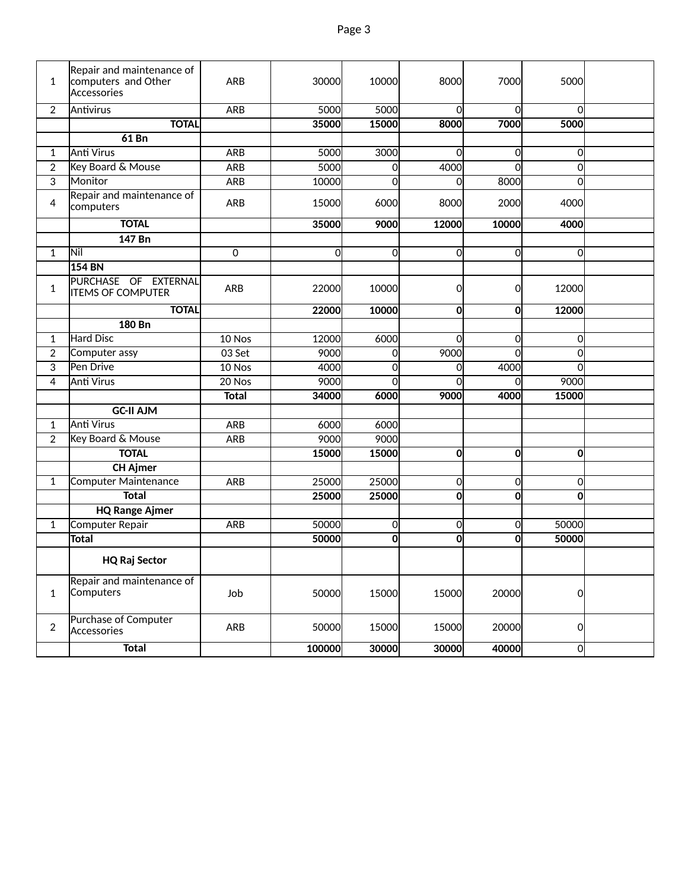| 1              | Repair and maintenance of<br>computers and Other<br>Accessories | <b>ARB</b>   | 30000       | 10000          | 8000           | 7000           | 5000           |  |
|----------------|-----------------------------------------------------------------|--------------|-------------|----------------|----------------|----------------|----------------|--|
| $\overline{2}$ | Antivirus                                                       | ARB          | 5000        | 5000           | $\Omega$       | $\Omega$       | $\Omega$       |  |
|                | <b>TOTAL</b>                                                    |              | 35000       | 15000          | 8000           | 7000           | 5000           |  |
|                | 61 Bn                                                           |              |             |                |                |                |                |  |
| 1              | Anti Virus                                                      | <b>ARB</b>   | 5000        | 3000           | 0              | 0              | 0              |  |
| $\overline{2}$ | Key Board & Mouse                                               | <b>ARB</b>   | 5000        | 0              | 4000           | $\Omega$       | 0              |  |
| $\overline{3}$ | Monitor                                                         | ARB          | 10000       | $\Omega$       | 0              | 8000           | $\overline{0}$ |  |
| 4              | Repair and maintenance of<br>computers                          | <b>ARB</b>   | 15000       | 6000           | 8000           | 2000           | 4000           |  |
|                | <b>TOTAL</b>                                                    |              | 35000       | 9000           | 12000          | 10000          | 4000           |  |
|                | 147 Bn                                                          |              |             |                |                |                |                |  |
| $\mathbf{1}$   | Nil                                                             | 0            | $\mathbf 0$ | $\overline{0}$ | $\overline{0}$ | $\overline{0}$ | Οl             |  |
|                | 154 BN                                                          |              |             |                |                |                |                |  |
| $\mathbf{1}$   | PURCHASE OF EXTERNAL<br><b>ITEMS OF COMPUTER</b>                | ARB          | 22000       | 10000          | 0              | 0              | 12000          |  |
|                | <b>TOTAL</b>                                                    |              | 22000       | 10000          | $\mathbf 0$    | $\mathbf{0}$   | 12000          |  |
|                | <b>180 Bn</b>                                                   |              |             |                |                |                |                |  |
| $\mathbf{1}$   | Hard Disc                                                       | 10 Nos       | 12000       | 6000           | $\Omega$       | 0              | 0              |  |
| $\overline{2}$ | Computer assy                                                   | 03 Set       | 9000        | <sub>0</sub>   | 9000           | $\Omega$       | Οl             |  |
| 3              | Pen Drive                                                       | 10 Nos       | 4000        | $\overline{0}$ | $\Omega$       | 4000           | Οl             |  |
| $\overline{4}$ | <b>Anti Virus</b>                                               | 20 Nos       | 9000        | $\Omega$       | $\Omega$       | $\Omega$       | 9000           |  |
|                |                                                                 | <b>Total</b> | 34000       | 6000           | 9000           | 4000           | 15000          |  |
|                | <b>GC-II AJM</b>                                                |              |             |                |                |                |                |  |
| $\mathbf{1}$   | Anti Virus                                                      | ARB          | 6000        | 6000           |                |                |                |  |
| $\overline{2}$ | Key Board & Mouse                                               | <b>ARB</b>   | 9000        | 9000           |                |                |                |  |
|                | <b>TOTAL</b>                                                    |              | 15000       | 15000          | 0              | $\mathbf{0}$   | Οl             |  |
|                | <b>CH Ajmer</b>                                                 |              |             |                |                |                |                |  |
| $\mathbf{1}$   | Computer Maintenance                                            | <b>ARB</b>   | 25000       | 25000          | 0              | $\overline{0}$ | Οl             |  |
|                | <b>Total</b>                                                    |              | 25000       | 25000          | $\mathbf 0$    | $\mathbf{0}$   | $\mathbf{0}$   |  |
|                | <b>HQ Range Ajmer</b>                                           |              |             |                |                |                |                |  |
| $\mathbf{1}$   | Computer Repair                                                 | ARB          | 50000       | $\overline{0}$ | 0              | $\Omega$       | 50000          |  |
|                | <b>Total</b>                                                    |              | 50000       | 0              | 0              | $\mathbf{0}$   | 50000          |  |
|                | <b>HQ Raj Sector</b>                                            |              |             |                |                |                |                |  |
| $\mathbf{1}$   | Repair and maintenance of<br>Computers                          | Job          | 50000       | 15000          | 15000          | 20000          | 0              |  |
| $\overline{2}$ | Purchase of Computer<br>Accessories                             | ARB          | 50000       | 15000          | 15000          | 20000          | 0              |  |
|                | <b>Total</b>                                                    |              | 100000      | 30000          | 30000          | 40000          | 0              |  |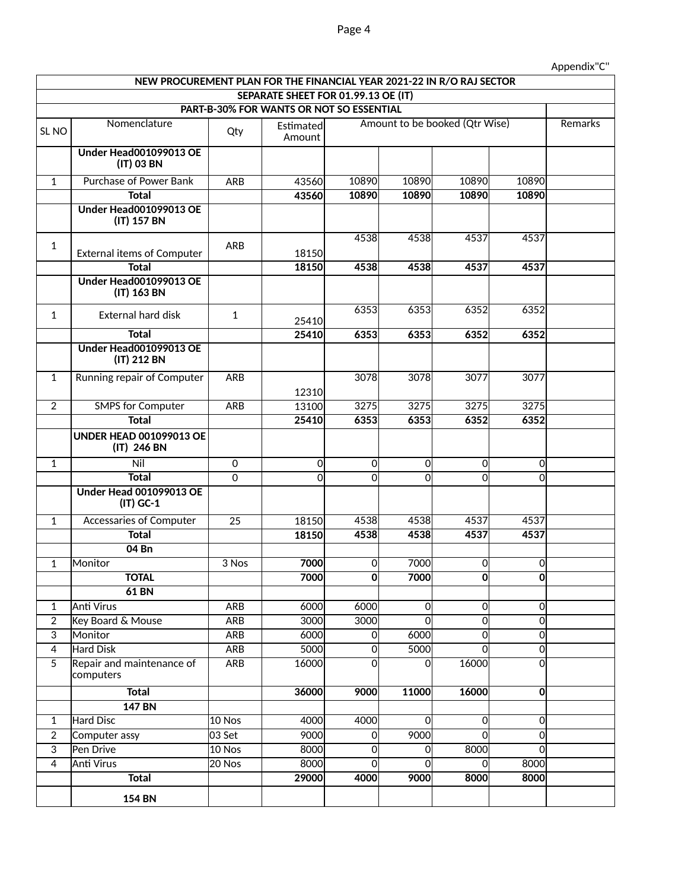## Page 4

|                  | NEW PROCUREMENT PLAN FOR THE FINANCIAL YEAR 2021-22 IN R/O RAJ SECTOR |              |                                          |             |              |                                |                |         |
|------------------|-----------------------------------------------------------------------|--------------|------------------------------------------|-------------|--------------|--------------------------------|----------------|---------|
|                  |                                                                       |              | SEPARATE SHEET FOR 01.99.13 OE (IT)      |             |              |                                |                |         |
|                  |                                                                       |              | PART-B-30% FOR WANTS OR NOT SO ESSENTIAL |             |              |                                |                |         |
| SL <sub>NO</sub> | Nomenclature                                                          | Qty          | Estimated<br>Amount                      |             |              | Amount to be booked (Qtr Wise) |                | Remarks |
|                  | <b>Under Head001099013 OE</b><br>(IT) 03 BN                           |              |                                          |             |              |                                |                |         |
| $\mathbf{1}$     | Purchase of Power Bank                                                | <b>ARB</b>   | 43560                                    | 10890       | 10890        | 10890                          | 10890          |         |
|                  | <b>Total</b>                                                          |              | 43560                                    | 10890       | 10890        | 10890                          | 10890          |         |
|                  | Under Head001099013 OE<br>(IT) 157 BN                                 |              |                                          |             |              |                                |                |         |
| $\mathbf{1}$     | <b>External items of Computer</b>                                     | ARB          | 18150                                    | 4538        | 4538         | 4537                           | 4537           |         |
|                  | <b>Total</b>                                                          |              | 18150                                    | 4538        | 4538         | 4537                           | 4537           |         |
|                  | Under Head001099013 OE<br>(IT) 163 BN                                 |              |                                          |             |              |                                |                |         |
| $\mathbf{1}$     | <b>External hard disk</b>                                             | $\mathbf{1}$ | 25410                                    | 6353        | 6353         | 6352                           | 6352           |         |
|                  | <b>Total</b>                                                          |              | 25410                                    | 6353        | 6353         | 6352                           | 6352           |         |
|                  | Under Head001099013 OE<br>(IT) 212 BN                                 |              |                                          |             |              |                                |                |         |
| $\mathbf{1}$     | Running repair of Computer                                            | <b>ARB</b>   | 12310                                    | 3078        | 3078         | 3077                           | 3077           |         |
| $\overline{2}$   | <b>SMPS for Computer</b>                                              | <b>ARB</b>   | 13100                                    | 3275        | 3275         | 3275                           | 3275           |         |
|                  | <b>Total</b>                                                          |              | 25410                                    | 6353        | 6353         | 6352                           | 6352           |         |
|                  | <b>UNDER HEAD 001099013 OE</b><br>(IT) 246 BN                         |              |                                          |             |              |                                |                |         |
| $\mathbf{1}$     | Nil                                                                   | 0            | 0                                        | 0           | 0l           | $\overline{0}$                 | 0              |         |
|                  | <b>Total</b>                                                          | $\mathbf 0$  | 0                                        | 0           | 0l           | $\overline{0}$                 | 0l             |         |
|                  | <b>Under Head 001099013 OE</b><br>$(IT)$ GC-1                         |              |                                          |             |              |                                |                |         |
| $\mathbf{1}$     | Accessaries of Computer                                               | 25           | 18150                                    | 4538        | 4538         | 4537                           | 4537           |         |
|                  | <b>Total</b>                                                          |              | 18150                                    | 4538        | 4538         | 4537                           | 4537           |         |
|                  | 04 Bn                                                                 |              |                                          |             |              |                                |                |         |
| $\mathbf{1}$     | Monitor                                                               | 3 Nos        | 7000                                     | 0           | <b>7000</b>  | $\mathbf 0$                    | 0l             |         |
|                  | <b>TOTAL</b>                                                          |              | 7000                                     | $\mathbf 0$ | 7000         | O                              | Ol             |         |
|                  | <b>61 BN</b>                                                          |              |                                          |             |              |                                |                |         |
| 1                | <b>Anti Virus</b>                                                     | <b>ARB</b>   | 6000                                     | 6000        | 이            | $\overline{0}$                 | 0              |         |
| $\overline{2}$   | Key Board & Mouse                                                     | <b>ARB</b>   | 3000                                     | 3000        | 이            | $\overline{\mathbf{o}}$        | 하              |         |
| $\overline{3}$   | Monitor                                                               | <b>ARB</b>   | 6000                                     | 0           | 6000         | $\mathbf 0$                    | $\overline{0}$ |         |
| $\overline{4}$   | Hard Disk                                                             | <b>ARB</b>   | 5000                                     | 0           | 5000         | $\overline{0}$                 | $\overline{0}$ |         |
| $\overline{5}$   | Repair and maintenance of<br>computers                                | <b>ARB</b>   | 16000                                    | 0           | οl           | 16000                          | 이              |         |
|                  | <b>Total</b>                                                          |              | 36000                                    | 9000        | 11000        | 16000                          | 0              |         |
|                  | <b>147 BN</b>                                                         |              |                                          |             |              |                                |                |         |
| $\overline{1}$   | Hard Disc                                                             | 10 Nos       | 4000                                     | 4000        | <sub>0</sub> | $\overline{0}$                 | 0              |         |
| $\overline{2}$   | Computer assy                                                         | 03 Set       | 9000                                     | $\mathbf 0$ | 9000         | $\overline{0}$                 | 0              |         |
| $\overline{3}$   | Pen Drive                                                             | $10$ Nos     | 8000                                     | 0           | 0l           | 8000                           | 0              |         |
| $\overline{4}$   | <b>Anti Virus</b>                                                     | $20$ Nos     | 8000                                     | 0           | 0            | <sub>0</sub>                   | 8000           |         |
|                  | <b>Total</b>                                                          |              | 29000                                    | 4000        | 9000         | 8000                           | 8000           |         |
|                  | <b>154 BN</b>                                                         |              |                                          |             |              |                                |                |         |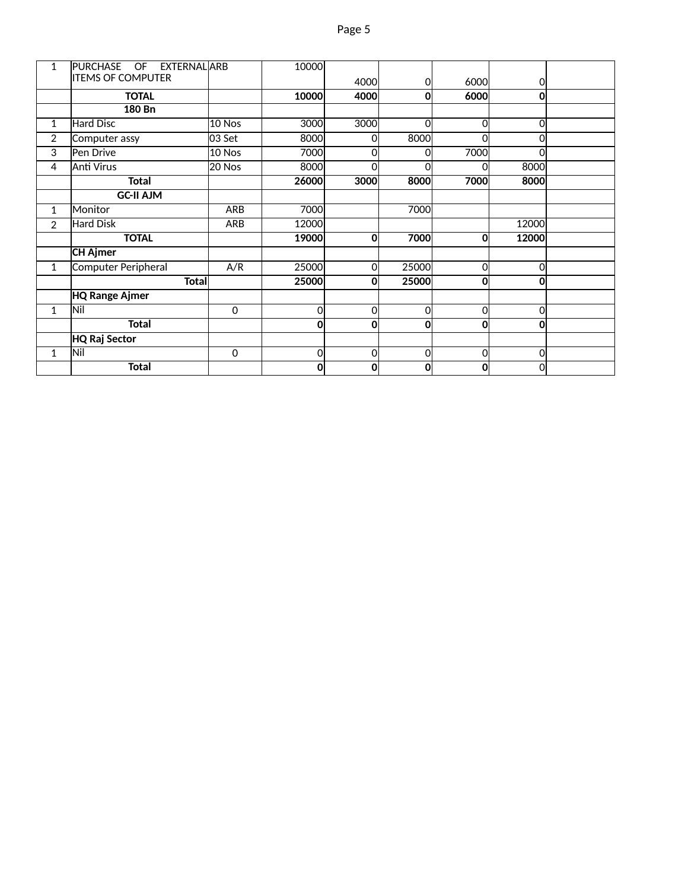| 1              | PURCHASE OF EXTERNAL ARB   |            | 10000    |             |       |                |              |  |
|----------------|----------------------------|------------|----------|-------------|-------|----------------|--------------|--|
|                | <b>ITEMS OF COMPUTER</b>   |            |          | 4000l       | 0l    | 6000           | <sup>O</sup> |  |
|                | <b>TOTAL</b>               |            | 10000    | 4000        | 0     | 6000           | 0l           |  |
|                | 180 Bn                     |            |          |             |       |                |              |  |
| 1              | Hard Disc                  | 10 Nos     | 3000     | 3000        | Οl    | $\overline{0}$ | 0l           |  |
| $\overline{2}$ | Computer assy              | l03 Set    | 8000     | Ω           | 8000  | 0              | Ωl           |  |
| 3              | Pen Drive                  | 10 Nos     | 7000     | 0           | Ωl    | 7000           | ΩI           |  |
| 4              | <b>Anti Virus</b>          | 20 Nos     | 8000     | 0           | O     | റ              | 8000         |  |
|                | <b>Total</b>               |            | 26000    | 3000        | 8000  | 7000           | 8000         |  |
|                | <b>GC-II AJM</b>           |            |          |             |       |                |              |  |
| 1              | Monitor                    | ARB        | 7000     |             | 7000  |                |              |  |
| $\overline{2}$ | <b>Hard Disk</b>           | <b>ARB</b> | 12000    |             |       |                | 12000        |  |
|                | <b>TOTAL</b>               |            | 19000    | $\mathbf 0$ | 7000  | $\mathbf{0}$   | 12000        |  |
|                | <b>CH Ajmer</b>            |            |          |             |       |                |              |  |
| $\mathbf 1$    | <b>Computer Peripheral</b> | A/R        | 25000    | $\Omega$    | 25000 | O              | 0l           |  |
|                | <b>Total</b>               |            | 25000    | 0           | 25000 | $\mathbf{0}$   | $\Omega$     |  |
|                | <b>HQ Range Ajmer</b>      |            |          |             |       |                |              |  |
| 1              | Nil                        | $\pmb{0}$  | 0        | 0           | 0     | 0              | 0l           |  |
|                | <b>Total</b>               |            | $\bf{0}$ | 0           | 0     | $\mathbf{0}$   | Οl           |  |
|                | HQ Raj Sector              |            |          |             |       |                |              |  |
| 1              | Nil                        | 0          | 0        | 0           | 0l    | 0              | Οl           |  |
|                | <b>Total</b>               |            | 0        | 0           | 0     | $\mathbf{0}$   | 0            |  |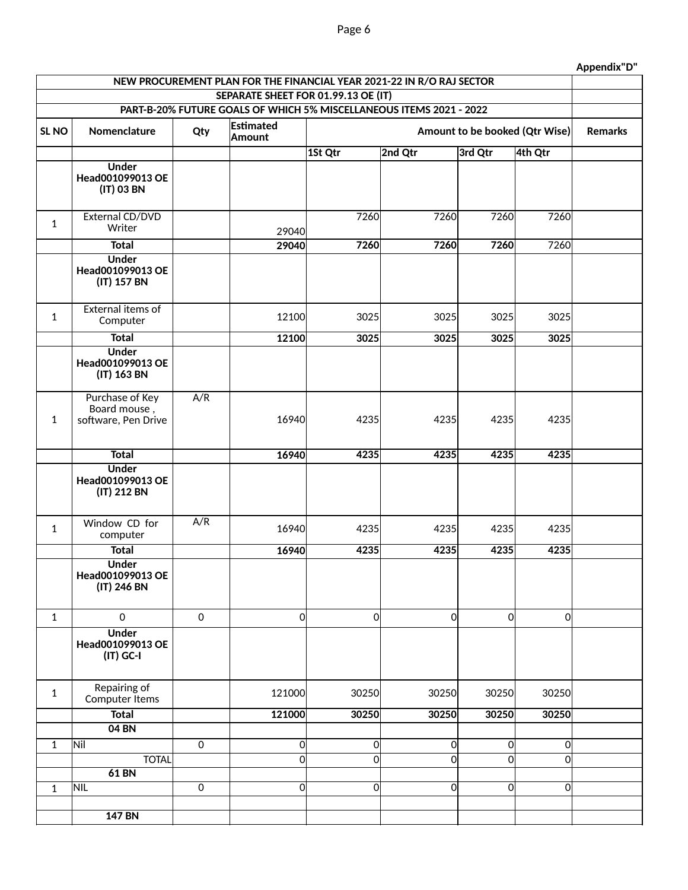| NEW PROCUREMENT PLAN FOR THE FINANCIAL YEAR 2021-22 IN R/O RAJ SECTOR |                                                        |                     |                     |          |                                |                |                     |  |  |  |  |  |
|-----------------------------------------------------------------------|--------------------------------------------------------|---------------------|---------------------|----------|--------------------------------|----------------|---------------------|--|--|--|--|--|
| SEPARATE SHEET FOR 01.99.13 OE (IT)                                   |                                                        |                     |                     |          |                                |                |                     |  |  |  |  |  |
| PART-B-20% FUTURE GOALS OF WHICH 5% MISCELLANEOUS ITEMS 2021 - 2022   |                                                        |                     |                     |          |                                |                |                     |  |  |  |  |  |
| SL <sub>NO</sub>                                                      | Nomenclature                                           | Qty                 | Estimated<br>Amount |          | Amount to be booked (Qtr Wise) |                |                     |  |  |  |  |  |
|                                                                       |                                                        |                     |                     | 1St Qtr  | 2nd Qtr                        | 3rd Qtr        | 4th Qtr             |  |  |  |  |  |
|                                                                       | <b>Under</b><br>Head001099013 OE<br>(IT) 03 BN         |                     |                     |          |                                |                |                     |  |  |  |  |  |
| $\mathbf{1}$                                                          | External CD/DVD<br>Writer                              |                     | 29040               | 7260     | 7260                           | 7260           | 7260                |  |  |  |  |  |
|                                                                       | <b>Total</b>                                           |                     | 29040               | 7260     | 7260                           | 7260           | 7260                |  |  |  |  |  |
|                                                                       | <b>Under</b><br>Head001099013 OE<br>(IT) 157 BN        |                     |                     |          |                                |                |                     |  |  |  |  |  |
| $\mathbf{1}$                                                          | <b>External items of</b><br>Computer                   |                     | 12100               | 3025     | 3025                           | 3025           | 3025                |  |  |  |  |  |
|                                                                       | <b>Total</b>                                           |                     | 12100               | 3025     | 3025                           | 3025           | 3025                |  |  |  |  |  |
|                                                                       | <b>Under</b><br>Head001099013 OE<br>(IT) 163 BN        |                     |                     |          |                                |                |                     |  |  |  |  |  |
| $\mathbf{1}$                                                          | Purchase of Key<br>Board mouse,<br>software, Pen Drive | A/R                 | 16940               | 4235     | 4235                           | 4235           | 4235                |  |  |  |  |  |
|                                                                       | <b>Total</b>                                           |                     | 16940               | 4235     | 4235                           | 4235           | 4235                |  |  |  |  |  |
|                                                                       | <b>Under</b><br>Head001099013 OE<br>(IT) 212 BN        |                     |                     |          |                                |                |                     |  |  |  |  |  |
| $\mathbf{1}$                                                          | Window CD for<br>computer                              | A/R                 | 16940               | 4235     | 4235                           | 4235           | 4235                |  |  |  |  |  |
|                                                                       | <b>Total</b>                                           |                     | 16940               | 4235     | 4235                           | 4235           | 4235                |  |  |  |  |  |
|                                                                       | <b>Under</b><br>Head001099013 OE<br>(IT) 246 BN        |                     |                     |          |                                |                |                     |  |  |  |  |  |
| $\mathbf{1}$                                                          | $\mathbf 0$                                            | $\mathsf{O}\xspace$ | 0                   | 0        | 0                              | $\overline{0}$ | $\mathsf{O}\xspace$ |  |  |  |  |  |
|                                                                       | <b>Under</b><br>Head001099013 OE<br>$(IT)$ GC-I        |                     |                     |          |                                |                |                     |  |  |  |  |  |
| $\mathbf{1}$                                                          | Repairing of<br>Computer Items                         |                     | 121000              | 30250    | 30250                          | 30250          | 30250               |  |  |  |  |  |
|                                                                       | <b>Total</b>                                           |                     | 121000              | 30250    | 30250                          | 30250          | 30250               |  |  |  |  |  |
|                                                                       | 04 BN                                                  |                     |                     |          |                                |                |                     |  |  |  |  |  |
| $\overline{1}$                                                        | Nil                                                    | $\mathbf 0$         | 0                   | 이        | 0                              | $\overline{0}$ | $\mathsf{O}\xspace$ |  |  |  |  |  |
|                                                                       | <b>TOTAL</b>                                           |                     | 0l                  | $\Omega$ | <sub>0</sub>                   | $\mathbf 0$    | $\overline{0}$      |  |  |  |  |  |
|                                                                       | <b>61 BN</b>                                           |                     |                     |          |                                |                |                     |  |  |  |  |  |
| $\mathbf{1}$                                                          | <b>NIL</b>                                             | $\overline{0}$      | 0                   | οl       | 0                              | $\overline{0}$ | $\mathbf 0$         |  |  |  |  |  |
|                                                                       | <b>147 BN</b>                                          |                     |                     |          |                                |                |                     |  |  |  |  |  |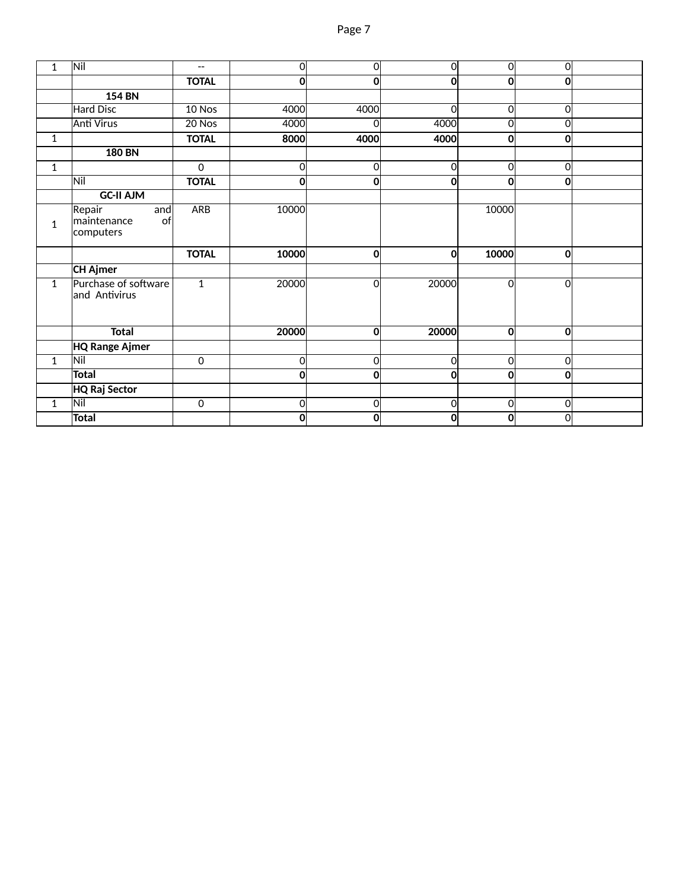| 1            | Nil                                             | $-\,-$         | 0              | 0              | $\Omega$ | <sub>0</sub> | 0                       |  |
|--------------|-------------------------------------------------|----------------|----------------|----------------|----------|--------------|-------------------------|--|
|              |                                                 | <b>TOTAL</b>   | 0              | O              | 0        | 0            | 0                       |  |
|              | <b>154 BN</b>                                   |                |                |                |          |              |                         |  |
|              | <b>Hard Disc</b>                                | 10 Nos         | 4000           | 4000           | 0        | 0            | 0                       |  |
|              | <b>Anti Virus</b>                               | 20 Nos         | 4000           | 0l             | 4000     | $\mathbf 0$  | 0                       |  |
| 1            |                                                 | <b>TOTAL</b>   | 8000           | 4000           | 4000     | 0            | 0                       |  |
|              | <b>180 BN</b>                                   |                |                |                |          |              |                         |  |
| $\mathbf{1}$ |                                                 | $\mathbf 0$    | $\overline{0}$ | $\overline{0}$ | 0        | 0            | $\overline{\mathbf{o}}$ |  |
|              | Nil                                             | <b>TOTAL</b>   | $\mathbf{0}$   | 0              | 0        | 0            | 0                       |  |
|              | <b>GC-II AJM</b>                                |                |                |                |          |              |                         |  |
| $\mathbf{1}$ | Repair<br>and<br>maintenance<br>of<br>computers | <b>ARB</b>     | 10000          |                |          | 10000        |                         |  |
|              |                                                 |                |                |                |          |              |                         |  |
|              |                                                 | <b>TOTAL</b>   | 10000          | O              | 0        | 10000        | $\bf{0}$                |  |
|              | <b>CH Ajmer</b>                                 |                |                |                |          |              |                         |  |
| $\mathbf{1}$ | Purchase of software<br>and Antivirus           | $\overline{1}$ | 20000          | 0l             | 20000    | $\Omega$     | $\mathbf 0$             |  |
|              | <b>Total</b>                                    |                | 20000          | 0              | 20000    | $\bf{0}$     | 0                       |  |
|              | <b>HQ Range Ajmer</b>                           |                |                |                |          |              |                         |  |
| $\mathbf{1}$ | Nil                                             | $\overline{0}$ | $\overline{0}$ | $\overline{0}$ | 0        | 0            | $\mathsf{O}\xspace$     |  |
|              | <b>Total</b>                                    |                | 0              | O              | 0        | $\bf{0}$     | $\bf{0}$                |  |
|              | <b>HQ Raj Sector</b>                            |                |                |                |          |              |                         |  |
| $\mathbf{1}$ | Nil                                             | $\mathbf 0$    | $\overline{0}$ | 0              | 0        | 0            | 0                       |  |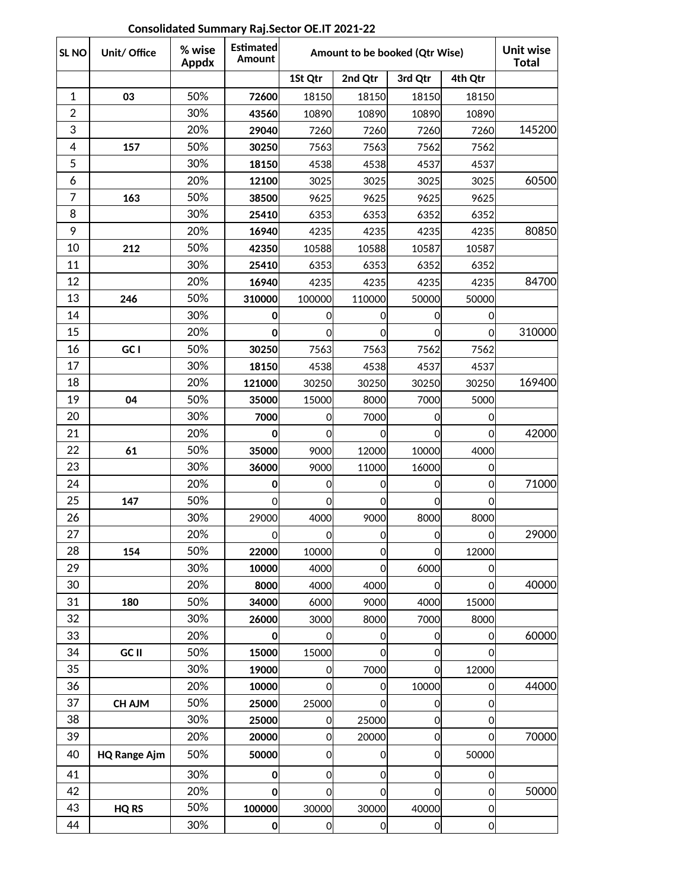SL NO **Unit/ Office All Wise Lumated Amount to be booked (Qtr Wise) 1St Qtr 2nd Qtr 3rd Qtr 4th Qtr** 50% **72600** 18150 18150 18150 18150 **| | 30% | 43560| 10890| 10890 10890 10890**  20% **29040** 7260 7260 7260 7260 145200 **| 157 |** 50% **| 30250|** 7563**| 7**563**| 7562** 7562 30% **18150** 4538 4538 4537 4537 20% **12100** 3025 3025 3025 3025 60500 50% **38500** 9625 9625 9625 9625 30% **25410** 6353 6353 6352 6352 20% **16940** 4235 4235 4235 4235 80850 50% **42350** 10588 10588 10587 10587 30% **25410** 6353 6353 6352 6352 20% **16940** 4235 4235 4235 4235 84700 **246 50% 310000** 100000 110000 50000 50000 **14 12 130% <b>14** 0 0 0 0 0 0 **15** 20% **0 0 0 0 0 0 310000**  50% **30250** 7563 7563 7562 7562 30% **18150** 4538 4538 4537 4537 20% **121000** 30250 30250 30250 30250 169400 50% **35000** 15000 8000 7000 5000 30% **7000** 0 7000 0 0 20% **0** 0 0 0 0 42000 50% **35000** 9000 12000 10000 4000 **| 30% | 36000 | 3000 | 11000 | 16000 | 16000**  20% **0** 0 0 0 0 71000 **147** 50% | 0 0 0 0 0 0 26 | | 30% | 29000| 4000| 9000| 8000| 8000 27 | 20% | 0 0 0 0 0 0 29000 **154** 50% **22000** 10000 0 0 12000 **| 30% | 10000 | 4000 | 6000 | 0 20% | 8000 4000 4000 0 0 40000 180** 50% **34000** 6000 9000 4000 15000 30% **26000** 3000 8000 7000 8000 **20% 1 0 0 0 0 0 0 0** 0 0 50% **15000** 15000 0 0 0 30% **19000** 0 7000 0 12000 20% **10000** 0 0 10000 0 44000 **CH AJM** | 50% | 25000 | 25000 | 0 | 0 | 0 **25000** 0 25000 **0** 25000 0 0 20% **20000** 0 20000 0 0 70000 50% **50000** 0 0 0 50000 **HQ Range Ajm** 30% **0** 0 0 0 0 20% **0** 0 0 0 0 50000 **| HQ RS | 50% | 100000|** 30000| 30000| 40000| 0 30% **0** 0 0 0 0 **% wise Appdx Estimated Amount Unit wise Total GC I GC II CH AJM HQ RS** 

#### **Consolidated Summary Raj.Sector OE.IT 2021-22**